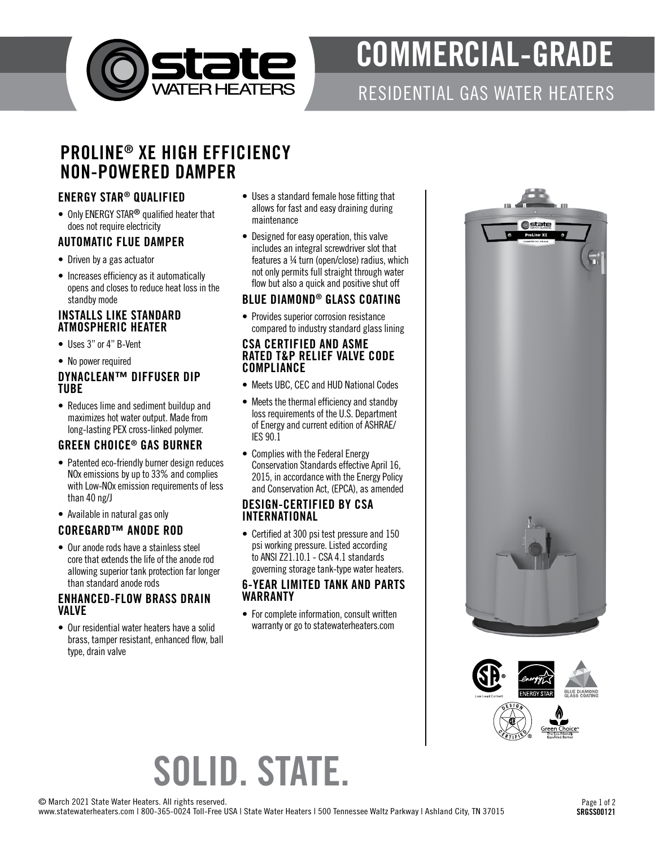

# COMMERCIAL-GRADE

### RESIDENTIAL GAS WATER HEATERS

### PROLINE® XE HIGH EFFICIENCY NON-POWERED DAMPER

#### ENERGY STAR® QUALIFIED

• Only ENERGY STAR<sup>®</sup> qualified heater that does not require electricity

#### AUTOMATIC FLUE DAMPER

- Driven by a gas actuator
- Increases efficiency as it automatically opens and closes to reduce heat loss in the standby mode

#### INSTALLS LIKE STANDARD ATMOSPHERIC HEATER

- Uses 3" or 4" B-Vent
- No power required

#### DYNACLEAN™ DIFFUSER DIP TUBE

• Reduces lime and sediment buildup and maximizes hot water output. Made from long-lasting PEX cross-linked polymer.

#### GREEN CHOICE® GAS BURNER

- Patented eco-friendly burner design reduces NOx emissions by up to 33% and complies with Low-NOx emission requirements of less than 40 ng/J
- Available in natural gas only

#### COREGARD™ ANODE ROD

• Our anode rods have a stainless steel core that extends the life of the anode rod allowing superior tank protection far longer than standard anode rods

#### ENHANCED-FLOW BRASS DRAIN VALVE

• Our residential water heaters have a solid brass, tamper resistant, enhanced flow, ball type, drain valve

- Uses a standard female hose fitting that allows for fast and easy draining during maintenance
- Designed for easy operation, this valve includes an integral screwdriver slot that features a ¼ turn (open/close) radius, which not only permits full straight through water flow but also a quick and positive shut off

#### BLUE DIAMOND® GLASS COATING

• Provides superior corrosion resistance compared to industry standard glass lining

#### CSA CERTIFIED AND ASME RATED T&P RELIEF VALVE CODE **COMPLIANCE**

- Meets UBC, CEC and HUD National Codes
- Meets the thermal efficiency and standby loss requirements of the U.S. Department of Energy and current edition of ASHRAE/ IES 90.1
- Complies with the Federal Energy Conservation Standards effective April 16, 2015, in accordance with the Energy Policy and Conservation Act, (EPCA), as amended

#### DESIGN-CERTIFIED BY CSA INTERNATIONAL

• Certified at 300 psi test pressure and 150 psi working pressure. Listed according to ANSI Z21.10.1 - CSA 4.1 standards governing storage tank-type water heaters.

#### 6-YEAR LIMITED TANK AND PARTS WARRANTY

• For complete information, consult written warranty or go to statewaterheaters.com





## SOLID. STATE.